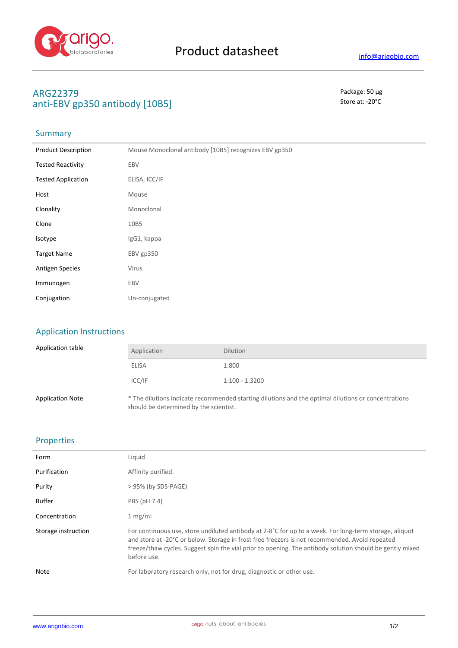

# **ARG22379** Package: 50 μg anti-EBV gp350 antibody [10B5] Store at: -20<sup>°</sup>C

## **Summary**

| <b>Product Description</b> | Mouse Monoclonal antibody [10B5] recognizes EBV gp350 |
|----------------------------|-------------------------------------------------------|
| <b>Tested Reactivity</b>   | EBV                                                   |
| <b>Tested Application</b>  | ELISA, ICC/IF                                         |
| Host                       | Mouse                                                 |
| Clonality                  | Monoclonal                                            |
| Clone                      | 10B5                                                  |
| Isotype                    | IgG1, kappa                                           |
| <b>Target Name</b>         | EBV gp350                                             |
| <b>Antigen Species</b>     | Virus                                                 |
| Immunogen                  | EBV                                                   |
| Conjugation                | Un-conjugated                                         |

## Application Instructions

| Application table       | Application                                                                                                                                   | <b>Dilution</b>  |
|-------------------------|-----------------------------------------------------------------------------------------------------------------------------------------------|------------------|
|                         | ELISA                                                                                                                                         | 1:800            |
|                         | ICC/IF                                                                                                                                        | $1:100 - 1:3200$ |
| <b>Application Note</b> | * The dilutions indicate recommended starting dilutions and the optimal dilutions or concentrations<br>should be determined by the scientist. |                  |

## Properties

| Form                | Liquid                                                                                                                                                                                                                                                                                                                              |
|---------------------|-------------------------------------------------------------------------------------------------------------------------------------------------------------------------------------------------------------------------------------------------------------------------------------------------------------------------------------|
| Purification        | Affinity purified.                                                                                                                                                                                                                                                                                                                  |
| Purity              | > 95% (by SDS-PAGE)                                                                                                                                                                                                                                                                                                                 |
| <b>Buffer</b>       | PBS (pH 7.4)                                                                                                                                                                                                                                                                                                                        |
| Concentration       | 1 mg/ml                                                                                                                                                                                                                                                                                                                             |
| Storage instruction | For continuous use, store undiluted antibody at 2-8°C for up to a week. For long-term storage, aliquot<br>and store at -20°C or below. Storage in frost free freezers is not recommended. Avoid repeated<br>freeze/thaw cycles. Suggest spin the vial prior to opening. The antibody solution should be gently mixed<br>before use. |
| Note                | For laboratory research only, not for drug, diagnostic or other use.                                                                                                                                                                                                                                                                |
|                     |                                                                                                                                                                                                                                                                                                                                     |